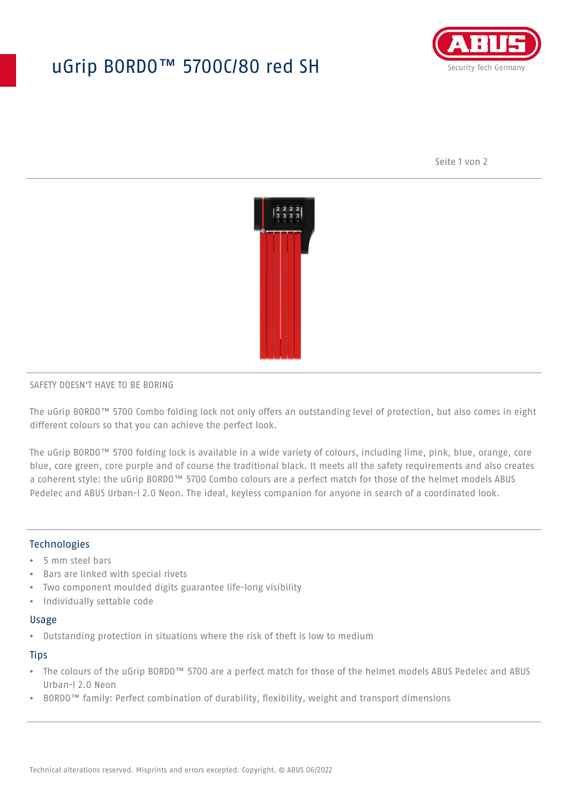## uGrip BORDO™ 5700C/80 red SH



Seite 1 von 2



#### SAFETY DOESN'T HAVE TO BE BORING

The uGrip BORDO™ 5700 Combo folding lock not only offers an outstanding level of protection, but also comes in eight different colours so that you can achieve the perfect look.

The uGrip BORDO™ 5700 folding lock is available in a wide variety of colours, including lime, pink, blue, orange, core blue, core green, core purple and of course the traditional black. It meets all the safety requirements and also creates a coherent style: the uGrip BORDO™ 5700 Combo colours are a perfect match for those of the helmet models ABUS Pedelec and ABUS Urban-I 2.0 Neon. The ideal, keyless companion for anyone in search of a coordinated look.

#### **Technologies**

- 5 mm steel bars
- Bars are linked with special rivets
- Two component moulded digits guarantee life-long visibility
- Individually settable code

#### Usage

• Outstanding protection in situations where the risk of theft is low to medium

#### **Tips**

- The colours of the uGrip BORDO™ 5700 are a perfect match for those of the helmet models ABUS Pedelec and ABUS Urban-I 2.0 Neon
- BORDO™ family: Perfect combination of durability, flexibility, weight and transport dimensions